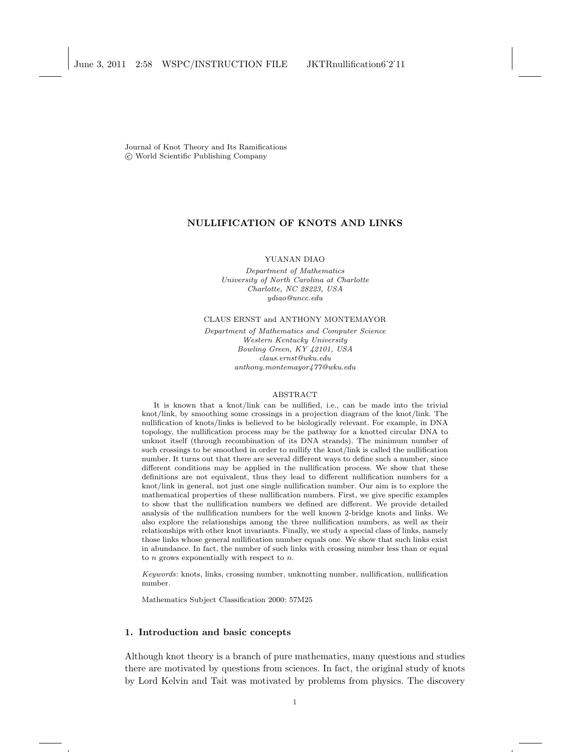Journal of Knot Theory and Its Ramifications °c World Scientific Publishing Company

# NULLIFICATION OF KNOTS AND LINKS

YUANAN DIAO

Department of Mathematics University of North Carolina at Charlotte Charlotte, NC 28223, USA ydiao@uncc.edu

CLAUS ERNST and ANTHONY MONTEMAYOR

Department of Mathematics and Computer Science Western Kentucky University Bowling Green, KY 42101, USA claus.ernst@wku.edu anthony.montemayor477@wku.edu

#### ABSTRACT

It is known that a knot/link can be nullified, i.e., can be made into the trivial knot/link, by smoothing some crossings in a projection diagram of the knot/link. The nullification of knots/links is believed to be biologically relevant. For example, in DNA topology, the nullification process may be the pathway for a knotted circular DNA to unknot itself (through recombination of its DNA strands). The minimum number of such crossings to be smoothed in order to nullify the knot/link is called the nullification number. It turns out that there are several different ways to define such a number, since different conditions may be applied in the nullification process. We show that these definitions are not equivalent, thus they lead to different nullification numbers for a knot/link in general, not just one single nullification number. Our aim is to explore the mathematical properties of these nullification numbers. First, we give specific examples to show that the nullification numbers we defined are different. We provide detailed analysis of the nullification numbers for the well known 2-bridge knots and links. We also explore the relationships among the three nullification numbers, as well as their relationships with other knot invariants. Finally, we study a special class of links, namely those links whose general nullification number equals one. We show that such links exist in abundance. In fact, the number of such links with crossing number less than or equal to  $n$  grows exponentially with respect to  $n$ .

Keywords: knots, links, crossing number, unknotting number, nullification, nullification number.

Mathematics Subject Classification 2000: 57M25

# 1. Introduction and basic concepts

Although knot theory is a branch of pure mathematics, many questions and studies there are motivated by questions from sciences. In fact, the original study of knots by Lord Kelvin and Tait was motivated by problems from physics. The discovery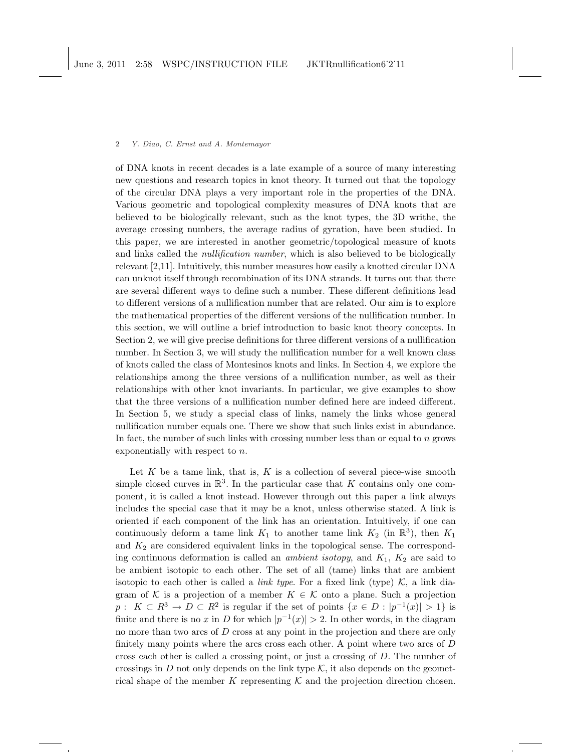of DNA knots in recent decades is a late example of a source of many interesting new questions and research topics in knot theory. It turned out that the topology of the circular DNA plays a very important role in the properties of the DNA. Various geometric and topological complexity measures of DNA knots that are believed to be biologically relevant, such as the knot types, the 3D writhe, the average crossing numbers, the average radius of gyration, have been studied. In this paper, we are interested in another geometric/topological measure of knots and links called the *nullification number*, which is also believed to be biologically relevant [2,11]. Intuitively, this number measures how easily a knotted circular DNA can unknot itself through recombination of its DNA strands. It turns out that there are several different ways to define such a number. These different definitions lead to different versions of a nullification number that are related. Our aim is to explore the mathematical properties of the different versions of the nullification number. In this section, we will outline a brief introduction to basic knot theory concepts. In Section 2, we will give precise definitions for three different versions of a nullification number. In Section 3, we will study the nullification number for a well known class of knots called the class of Montesinos knots and links. In Section 4, we explore the relationships among the three versions of a nullification number, as well as their relationships with other knot invariants. In particular, we give examples to show that the three versions of a nullification number defined here are indeed different. In Section 5, we study a special class of links, namely the links whose general nullification number equals one. There we show that such links exist in abundance. In fact, the number of such links with crossing number less than or equal to n grows exponentially with respect to n.

Let  $K$  be a tame link, that is,  $K$  is a collection of several piece-wise smooth simple closed curves in  $\mathbb{R}^3$ . In the particular case that K contains only one component, it is called a knot instead. However through out this paper a link always includes the special case that it may be a knot, unless otherwise stated. A link is oriented if each component of the link has an orientation. Intuitively, if one can continuously deform a tame link  $K_1$  to another tame link  $K_2$  (in  $\mathbb{R}^3$ ), then  $K_1$ and  $K_2$  are considered equivalent links in the topological sense. The corresponding continuous deformation is called an *ambient isotopy*, and  $K_1$ ,  $K_2$  are said to be ambient isotopic to each other. The set of all (tame) links that are ambient isotopic to each other is called a *link type*. For a fixed link (type)  $K$ , a link diagram of K is a projection of a member  $K \in \mathcal{K}$  onto a plane. Such a projection  $p: K \subset R^3 \to D \subset R^2$  is regular if the set of points  $\{x \in D : |p^{-1}(x)| > 1\}$  is finite and there is no x in D for which  $|p^{-1}(x)| > 2$ . In other words, in the diagram no more than two arcs of  $D$  cross at any point in the projection and there are only finitely many points where the arcs cross each other. A point where two arcs of  $D$ cross each other is called a crossing point, or just a crossing of D. The number of crossings in D not only depends on the link type  $K$ , it also depends on the geometrical shape of the member K representing  $K$  and the projection direction chosen.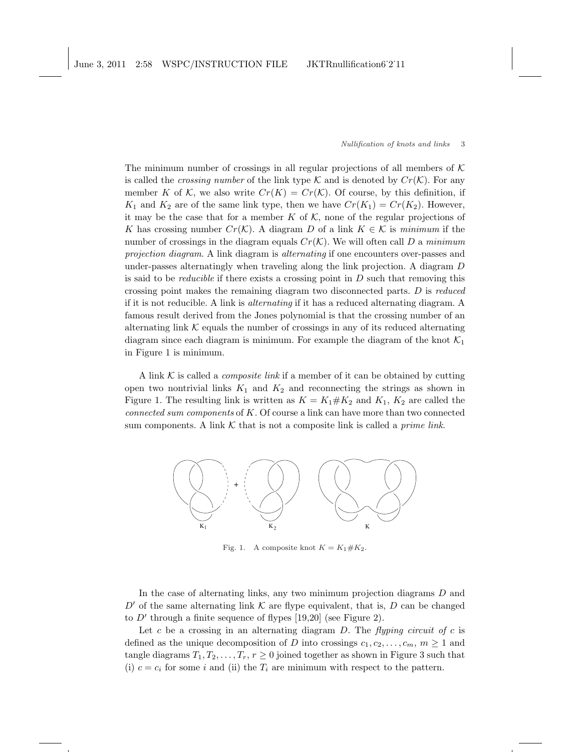The minimum number of crossings in all regular projections of all members of  $K$ is called the *crossing number* of the link type K and is denoted by  $Cr(K)$ . For any member K of K, we also write  $Cr(K) = Cr(K)$ . Of course, by this definition, if  $K_1$  and  $K_2$  are of the same link type, then we have  $Cr(K_1) = Cr(K_2)$ . However, it may be the case that for a member K of  $K$ , none of the regular projections of K has crossing number  $Cr(\mathcal{K})$ . A diagram D of a link  $K \in \mathcal{K}$  is minimum if the number of crossings in the diagram equals  $Cr(\mathcal{K})$ . We will often call D a minimum projection diagram. A link diagram is alternating if one encounters over-passes and under-passes alternatingly when traveling along the link projection. A diagram D is said to be *reducible* if there exists a crossing point in  $D$  such that removing this crossing point makes the remaining diagram two disconnected parts. D is reduced if it is not reducible. A link is alternating if it has a reduced alternating diagram. A famous result derived from the Jones polynomial is that the crossing number of an alternating link  $K$  equals the number of crossings in any of its reduced alternating diagram since each diagram is minimum. For example the diagram of the knot  $\mathcal{K}_1$ in Figure 1 is minimum.

A link  $K$  is called a *composite link* if a member of it can be obtained by cutting open two nontrivial links  $K_1$  and  $K_2$  and reconnecting the strings as shown in Figure 1. The resulting link is written as  $K = K_1 \# K_2$  and  $K_1$ ,  $K_2$  are called the connected sum components of  $K$ . Of course a link can have more than two connected sum components. A link  $K$  that is not a composite link is called a *prime link*.



Fig. 1. A composite knot  $K = K_1 \# K_2$ .

In the case of alternating links, any two minimum projection diagrams D and D' of the same alternating link  $\mathcal K$  are flype equivalent, that is, D can be changed to  $D'$  through a finite sequence of flypes [19,20] (see Figure 2).

Let c be a crossing in an alternating diagram  $D$ . The flyping circuit of c is defined as the unique decomposition of D into crossings  $c_1, c_2, \ldots, c_m, m \ge 1$  and tangle diagrams  $T_1, T_2, \ldots, T_r, r \geq 0$  joined together as shown in Figure 3 such that (i)  $c = c_i$  for some i and (ii) the  $T_i$  are minimum with respect to the pattern.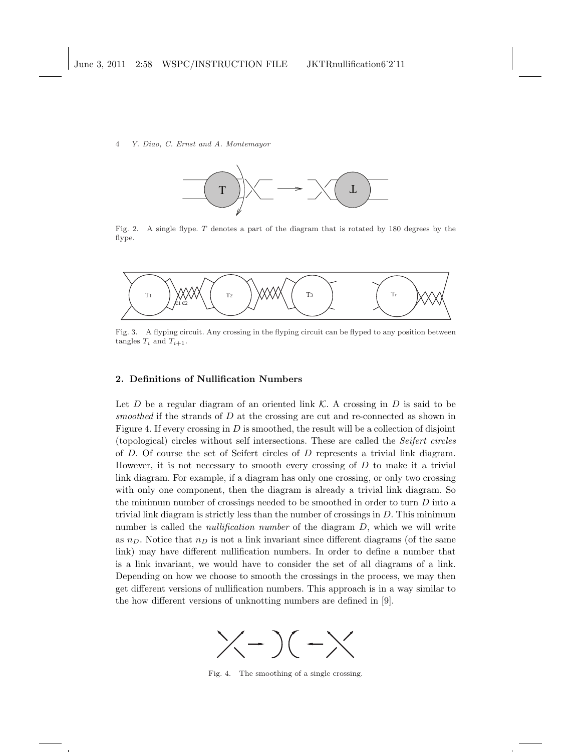

Fig. 2. A single flype. T denotes a part of the diagram that is rotated by 180 degrees by the flype.



Fig. 3. A flyping circuit. Any crossing in the flyping circuit can be flyped to any position between tangles  $T_i$  and  $T_{i+1}$ .

# 2. Definitions of Nullification Numbers

Let D be a regular diagram of an oriented link  $\mathcal K$ . A crossing in D is said to be smoothed if the strands of  $D$  at the crossing are cut and re-connected as shown in Figure 4. If every crossing in  $D$  is smoothed, the result will be a collection of disjoint (topological) circles without self intersections. These are called the Seifert circles of D. Of course the set of Seifert circles of D represents a trivial link diagram. However, it is not necessary to smooth every crossing of  $D$  to make it a trivial link diagram. For example, if a diagram has only one crossing, or only two crossing with only one component, then the diagram is already a trivial link diagram. So the minimum number of crossings needed to be smoothed in order to turn D into a trivial link diagram is strictly less than the number of crossings in D. This minimum number is called the *nullification number* of the diagram  $D$ , which we will write as  $n_D$ . Notice that  $n_D$  is not a link invariant since different diagrams (of the same link) may have different nullification numbers. In order to define a number that is a link invariant, we would have to consider the set of all diagrams of a link. Depending on how we choose to smooth the crossings in the process, we may then get different versions of nullification numbers. This approach is in a way similar to the how different versions of unknotting numbers are defined in [9].



Fig. 4. The smoothing of a single crossing.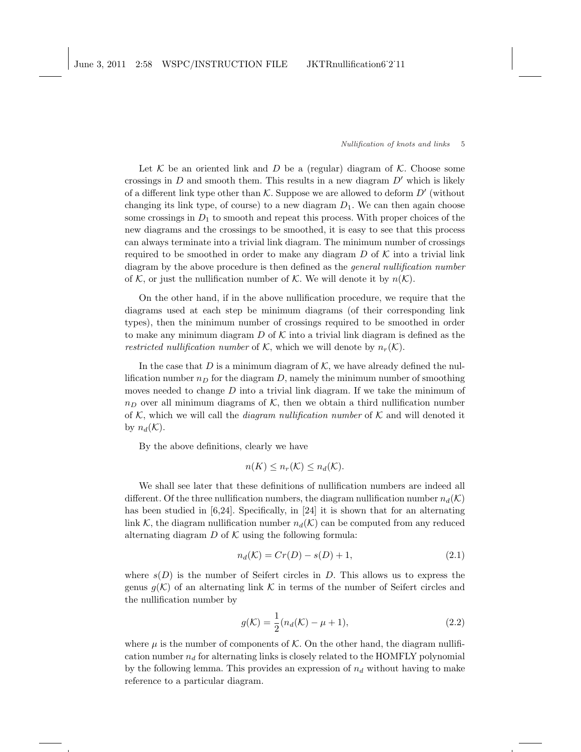June 3, 2011 2:58 WSPC/INSTRUCTION FILE JKTRnullification6˙2˙11

#### Nullification of knots and links 5

Let  $K$  be an oriented link and D be a (regular) diagram of  $K$ . Choose some crossings in  $D$  and smooth them. This results in a new diagram  $D'$  which is likely of a different link type other than  $K$ . Suppose we are allowed to deform  $D'$  (without changing its link type, of course) to a new diagram  $D_1$ . We can then again choose some crossings in  $D_1$  to smooth and repeat this process. With proper choices of the new diagrams and the crossings to be smoothed, it is easy to see that this process can always terminate into a trivial link diagram. The minimum number of crossings required to be smoothed in order to make any diagram  $D$  of  $K$  into a trivial link diagram by the above procedure is then defined as the general nullification number of K, or just the nullification number of K. We will denote it by  $n(K)$ .

On the other hand, if in the above nullification procedure, we require that the diagrams used at each step be minimum diagrams (of their corresponding link types), then the minimum number of crossings required to be smoothed in order to make any minimum diagram  $D$  of  $K$  into a trivial link diagram is defined as the restricted nullification number of K, which we will denote by  $n_r(\mathcal{K})$ .

In the case that  $D$  is a minimum diagram of  $K$ , we have already defined the nullification number  $n<sub>D</sub>$  for the diagram D, namely the minimum number of smoothing moves needed to change  $D$  into a trivial link diagram. If we take the minimum of  $n_D$  over all minimum diagrams of K, then we obtain a third nullification number of K, which we will call the *diagram nullification number* of K and will denoted it by  $n_d(\mathcal{K})$ .

By the above definitions, clearly we have

$$
n(K) \le n_r(\mathcal{K}) \le n_d(\mathcal{K}).
$$

We shall see later that these definitions of nullification numbers are indeed all different. Of the three nullification numbers, the diagram nullification number  $n_d(\mathcal{K})$ has been studied in [6,24]. Specifically, in [24] it is shown that for an alternating link K, the diagram nullification number  $n_d(\mathcal{K})$  can be computed from any reduced alternating diagram  $D$  of  $K$  using the following formula:

$$
n_d(\mathcal{K}) = Cr(D) - s(D) + 1,\t\t(2.1)
$$

where  $s(D)$  is the number of Seifert circles in D. This allows us to express the genus  $g(\mathcal{K})$  of an alternating link  $\mathcal K$  in terms of the number of Seifert circles and the nullification number by

$$
g(\mathcal{K}) = \frac{1}{2}(n_d(\mathcal{K}) - \mu + 1),
$$
\n(2.2)

where  $\mu$  is the number of components of K. On the other hand, the diagram nullification number  $n_d$  for alternating links is closely related to the HOMFLY polynomial by the following lemma. This provides an expression of  $n_d$  without having to make reference to a particular diagram.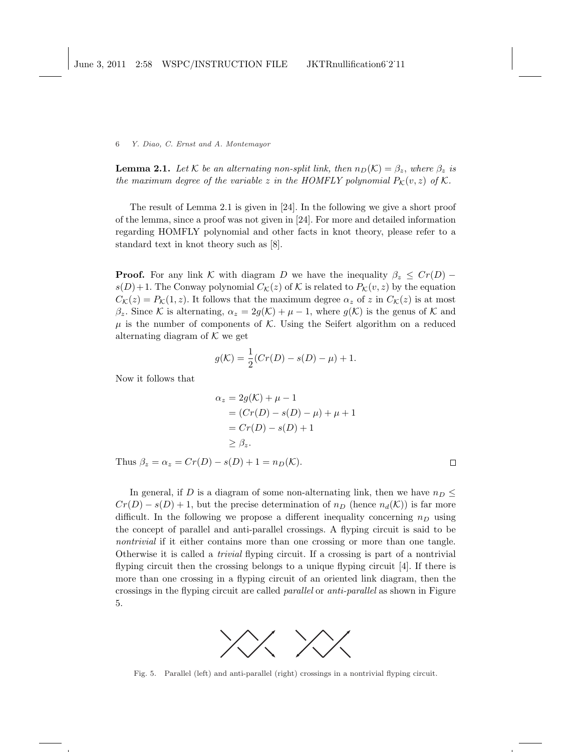**Lemma 2.1.** Let K be an alternating non-split link, then  $n_D(\mathcal{K}) = \beta_z$ , where  $\beta_z$  is the maximum degree of the variable z in the HOMFLY polynomial  $P_{\mathcal{K}}(v, z)$  of  $\mathcal{K}$ .

The result of Lemma 2.1 is given in [24]. In the following we give a short proof of the lemma, since a proof was not given in [24]. For more and detailed information regarding HOMFLY polynomial and other facts in knot theory, please refer to a standard text in knot theory such as [8].

**Proof.** For any link K with diagram D we have the inequality  $\beta_z \leq Cr(D)$  –  $s(D) + 1$ . The Conway polynomial  $C_{\mathcal{K}}(z)$  of K is related to  $P_{\mathcal{K}}(v, z)$  by the equation  $C_{\mathcal{K}}(z) = P_{\mathcal{K}}(1, z)$ . It follows that the maximum degree  $\alpha_z$  of z in  $C_{\mathcal{K}}(z)$  is at most  $\beta_z$ . Since K is alternating,  $\alpha_z = 2g(\mathcal{K}) + \mu - 1$ , where  $g(\mathcal{K})$  is the genus of K and  $\mu$  is the number of components of K. Using the Seifert algorithm on a reduced alternating diagram of  $K$  we get

$$
g(\mathcal{K}) = \frac{1}{2}(Cr(D) - s(D) - \mu) + 1.
$$

Now it follows that

$$
\alpha_z = 2g(\mathcal{K}) + \mu - 1
$$
  
=  $(Cr(D) - s(D) - \mu) + \mu + 1$   
=  $Cr(D) - s(D) + 1$   
 $\geq \beta_z$ .

Thus  $\beta_z = \alpha_z = Cr(D) - s(D) + 1 = n_D(\mathcal{K}).$ 

 $\Box$ 

In general, if D is a diagram of some non-alternating link, then we have  $n_D \leq$  $Cr(D) - s(D) + 1$ , but the precise determination of  $n_D$  (hence  $n_d(\mathcal{K})$ ) is far more difficult. In the following we propose a different inequality concerning  $n_D$  using the concept of parallel and anti-parallel crossings. A flyping circuit is said to be nontrivial if it either contains more than one crossing or more than one tangle. Otherwise it is called a trivial flyping circuit. If a crossing is part of a nontrivial flyping circuit then the crossing belongs to a unique flyping circuit [4]. If there is more than one crossing in a flyping circuit of an oriented link diagram, then the crossings in the flyping circuit are called parallel or anti-parallel as shown in Figure 5.



Fig. 5. Parallel (left) and anti-parallel (right) crossings in a nontrivial flyping circuit.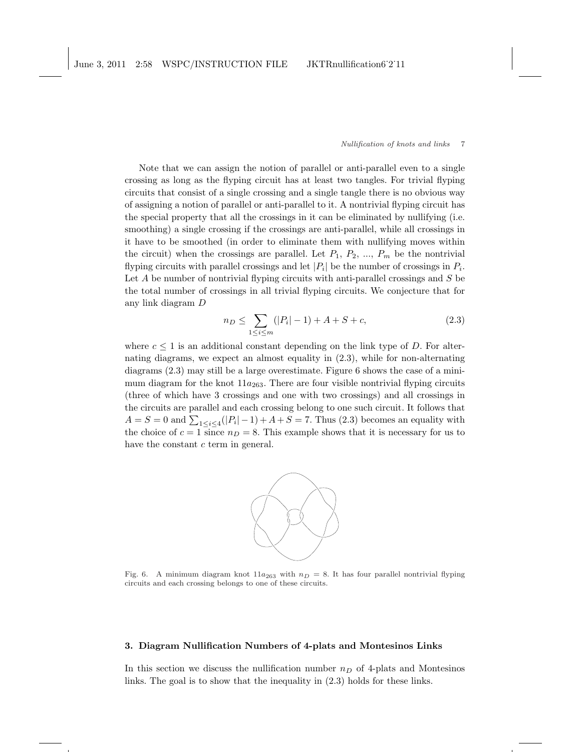Note that we can assign the notion of parallel or anti-parallel even to a single crossing as long as the flyping circuit has at least two tangles. For trivial flyping circuits that consist of a single crossing and a single tangle there is no obvious way of assigning a notion of parallel or anti-parallel to it. A nontrivial flyping circuit has the special property that all the crossings in it can be eliminated by nullifying (i.e. smoothing) a single crossing if the crossings are anti-parallel, while all crossings in it have to be smoothed (in order to eliminate them with nullifying moves within the circuit) when the crossings are parallel. Let  $P_1, P_2, ..., P_m$  be the nontrivial flyping circuits with parallel crossings and let  $|P_i|$  be the number of crossings in  $P_i$ . Let  $A$  be number of nontrivial flyping circuits with anti-parallel crossings and  $S$  be the total number of crossings in all trivial flyping circuits. We conjecture that for any link diagram D

$$
n_D \le \sum_{1 \le i \le m} (|P_i| - 1) + A + S + c,\tag{2.3}
$$

where  $c \leq 1$  is an additional constant depending on the link type of D. For alternating diagrams, we expect an almost equality in (2.3), while for non-alternating diagrams (2.3) may still be a large overestimate. Figure 6 shows the case of a minimum diagram for the knot  $11a_{263}$ . There are four visible nontrivial flyping circuits (three of which have 3 crossings and one with two crossings) and all crossings in the circuits are parallel and each crossing belong to one such circuit. It follows that  $A = S = 0$  and  $\sum_{1 \leq i \leq 4} (|P_i| - 1) + A + S = 7$ . Thus (2.3) becomes an equality with the choice of  $c = 1$  since  $n_D = 8$ . This example shows that it is necessary for us to have the constant  $c$  term in general.



Fig. 6. A minimum diagram knot  $11a_{263}$  with  $n_D = 8$ . It has four parallel nontrivial flyping circuits and each crossing belongs to one of these circuits.

# 3. Diagram Nullification Numbers of 4-plats and Montesinos Links

In this section we discuss the nullification number  $n_D$  of 4-plats and Montesinos links. The goal is to show that the inequality in (2.3) holds for these links.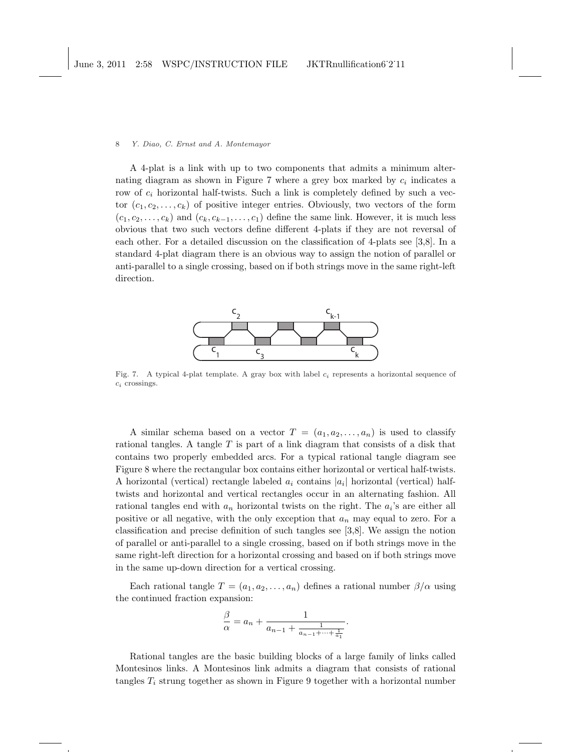A 4-plat is a link with up to two components that admits a minimum alternating diagram as shown in Figure 7 where a grey box marked by  $c_i$  indicates a row of  $c_i$  horizontal half-twists. Such a link is completely defined by such a vector  $(c_1, c_2, \ldots, c_k)$  of positive integer entries. Obviously, two vectors of the form  $(c_1, c_2, \ldots, c_k)$  and  $(c_k, c_{k-1}, \ldots, c_1)$  define the same link. However, it is much less obvious that two such vectors define different 4-plats if they are not reversal of each other. For a detailed discussion on the classification of 4-plats see [3,8]. In a standard 4-plat diagram there is an obvious way to assign the notion of parallel or anti-parallel to a single crossing, based on if both strings move in the same right-left direction.



Fig. 7. A typical 4-plat template. A gray box with label  $c_i$  represents a horizontal sequence of  $c_i$  crossings.

A similar schema based on a vector  $T = (a_1, a_2, \ldots, a_n)$  is used to classify rational tangles. A tangle T is part of a link diagram that consists of a disk that contains two properly embedded arcs. For a typical rational tangle diagram see Figure 8 where the rectangular box contains either horizontal or vertical half-twists. A horizontal (vertical) rectangle labeled  $a_i$  contains  $|a_i|$  horizontal (vertical) halftwists and horizontal and vertical rectangles occur in an alternating fashion. All rational tangles end with  $a_n$  horizontal twists on the right. The  $a_i$ 's are either all positive or all negative, with the only exception that  $a_n$  may equal to zero. For a classification and precise definition of such tangles see [3,8]. We assign the notion of parallel or anti-parallel to a single crossing, based on if both strings move in the same right-left direction for a horizontal crossing and based on if both strings move in the same up-down direction for a vertical crossing.

Each rational tangle  $T = (a_1, a_2, \ldots, a_n)$  defines a rational number  $\beta/\alpha$  using the continued fraction expansion:

$$
\frac{\beta}{\alpha} = a_n + \frac{1}{a_{n-1} + \frac{1}{a_{n-1} + \dots + \frac{1}{a_1}}}.
$$

Rational tangles are the basic building blocks of a large family of links called Montesinos links. A Montesinos link admits a diagram that consists of rational tangles  $T_i$  strung together as shown in Figure 9 together with a horizontal number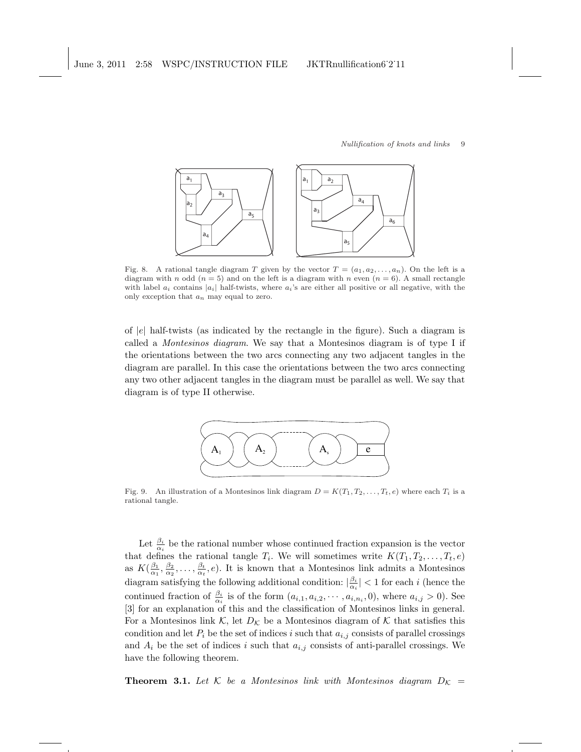

Fig. 8. A rational tangle diagram T given by the vector  $T = (a_1, a_2, \ldots, a_n)$ . On the left is a diagram with n odd  $(n = 5)$  and on the left is a diagram with n even  $(n = 6)$ . A small rectangle with label  $a_i$  contains  $|a_i|$  half-twists, where  $a_i$ 's are either all positive or all negative, with the only exception that  $a_n$  may equal to zero.

of  $|e|$  half-twists (as indicated by the rectangle in the figure). Such a diagram is called a Montesinos diagram. We say that a Montesinos diagram is of type I if the orientations between the two arcs connecting any two adjacent tangles in the diagram are parallel. In this case the orientations between the two arcs connecting any two other adjacent tangles in the diagram must be parallel as well. We say that diagram is of type II otherwise.



Fig. 9. An illustration of a Montesinos link diagram  $D = K(T_1, T_2, \ldots, T_t, e)$  where each  $T_i$  is a rational tangle.

Let  $\frac{\beta_i}{\alpha_i}$  be the rational number whose continued fraction expansion is the vector that defines the rational tangle  $T_i$ . We will sometimes write  $K(T_1, T_2, \ldots, T_t, e)$ as  $K(\frac{\beta_1}{\alpha_1}, \frac{\beta_2}{\alpha_2}, \ldots, \frac{\beta_t}{\alpha_t}, e)$ . It is known that a Montesinos link admits a Montesinos diagram satisfying the following additional condition:  $|\frac{\beta_i}{\alpha_i}| < 1$  for each i (hence the continued fraction of  $\frac{\beta_i}{\alpha_i}$  is of the form  $(a_{i,1}, a_{i,2}, \dots, a_{i,n_i}, 0)$ , where  $a_{i,j} > 0$ ). See [3] for an explanation of this and the classification of Montesinos links in general. For a Montesinos link K, let  $D_K$  be a Montesinos diagram of K that satisfies this condition and let  $P_i$  be the set of indices i such that  $a_{i,j}$  consists of parallel crossings and  $A_i$  be the set of indices i such that  $a_{i,j}$  consists of anti-parallel crossings. We have the following theorem.

**Theorem 3.1.** Let K be a Montesinos link with Montesinos diagram  $D_K$  =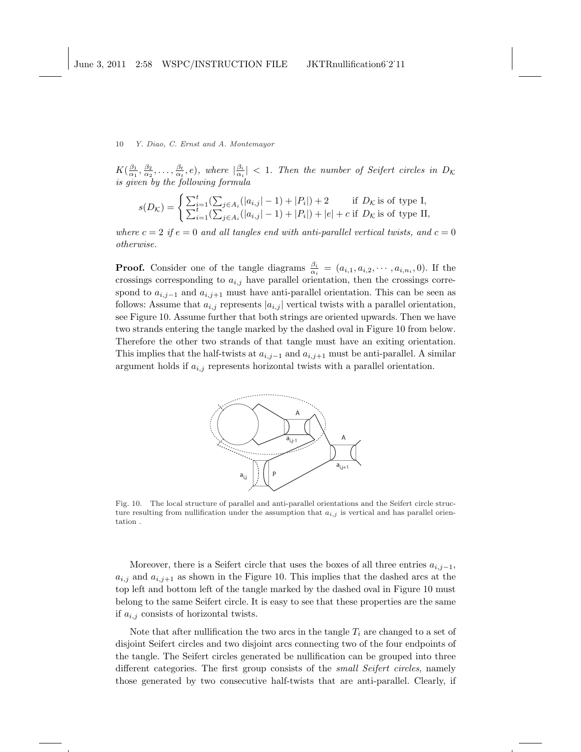$K(\frac{\beta_1}{\alpha_1}, \frac{\beta_2}{\alpha_2}, \ldots, \frac{\beta_t}{\alpha_t}, e)$ , where  $|\frac{\beta_i}{\alpha_i}| < 1$ . Then the number of Seifert circles in  $D_K$ is given by the following formula

$$
s(D_{\mathcal{K}}) = \begin{cases} \sum_{i=1}^{t} (\sum_{j \in A_i} (|a_{i,j}| - 1) + |P_i|) + 2 & \text{if } D_{\mathcal{K}} \text{ is of type I,} \\ \sum_{i=1}^{t} (\sum_{j \in A_i} (|a_{i,j}| - 1) + |P_i|) + |e| + c & \text{if } D_{\mathcal{K}} \text{ is of type II,} \end{cases}
$$

where  $c = 2$  if  $e = 0$  and all tangles end with anti-parallel vertical twists, and  $c = 0$ otherwise.

**Proof.** Consider one of the tangle diagrams  $\frac{\beta_i}{\alpha_i} = (a_{i,1}, a_{i,2}, \dots, a_{i,n_i}, 0)$ . If the crossings corresponding to  $a_{i,j}$  have parallel orientation, then the crossings correspond to  $a_{i,j-1}$  and  $a_{i,j+1}$  must have anti-parallel orientation. This can be seen as follows: Assume that  $a_{i,j}$  represents  $|a_{i,j}|$  vertical twists with a parallel orientation, see Figure 10. Assume further that both strings are oriented upwards. Then we have two strands entering the tangle marked by the dashed oval in Figure 10 from below. Therefore the other two strands of that tangle must have an exiting orientation. This implies that the half-twists at  $a_{i,j-1}$  and  $a_{i,j+1}$  must be anti-parallel. A similar argument holds if  $a_{i,j}$  represents horizontal twists with a parallel orientation.



Fig. 10. The local structure of parallel and anti-parallel orientations and the Seifert circle structure resulting from nullification under the assumption that  $a_{i,j}$  is vertical and has parallel orientation .

Moreover, there is a Seifert circle that uses the boxes of all three entries  $a_{i,j-1}$ ,  $a_{i,j}$  and  $a_{i,j+1}$  as shown in the Figure 10. This implies that the dashed arcs at the top left and bottom left of the tangle marked by the dashed oval in Figure 10 must belong to the same Seifert circle. It is easy to see that these properties are the same if  $a_{i,j}$  consists of horizontal twists.

Note that after nullification the two arcs in the tangle  $T_i$  are changed to a set of disjoint Seifert circles and two disjoint arcs connecting two of the four endpoints of the tangle. The Seifert circles generated be nullification can be grouped into three different categories. The first group consists of the *small Seifert circles*, namely those generated by two consecutive half-twists that are anti-parallel. Clearly, if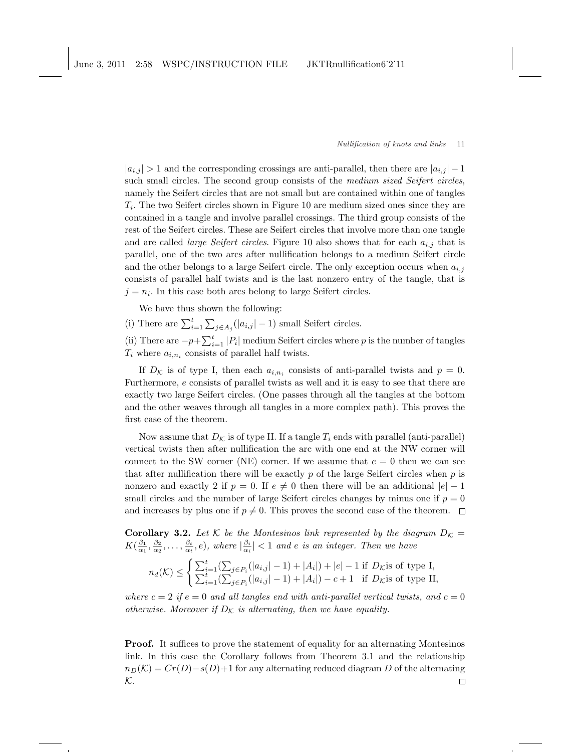$|a_{i,j}| > 1$  and the corresponding crossings are anti-parallel, then there are  $|a_{i,j}| - 1$ such small circles. The second group consists of the *medium sized Seifert circles*, namely the Seifert circles that are not small but are contained within one of tangles  $T_i$ . The two Seifert circles shown in Figure 10 are medium sized ones since they are contained in a tangle and involve parallel crossings. The third group consists of the rest of the Seifert circles. These are Seifert circles that involve more than one tangle and are called *large Seifert circles*. Figure 10 also shows that for each  $a_{i,j}$  that is parallel, one of the two arcs after nullification belongs to a medium Seifert circle and the other belongs to a large Seifert circle. The only exception occurs when  $a_{i,j}$ consists of parallel half twists and is the last nonzero entry of the tangle, that is  $j = n_i$ . In this case both arcs belong to large Seifert circles.

We have thus shown the following:

(i) There are  $\sum_{i=1}^{t}$  $\overline{\phantom{0}}$  $_{j\in A_j}(|a_{i,j}|-1)$  small Seifert circles.

(ii) There are  $-p+\sum_{i=1}^{t} |P_i|$  medium Seifert circles where p is the number of tangles  $T_i$  where  $a_{i,n_i}$  consists of parallel half twists.

If  $D_{\mathcal{K}}$  is of type I, then each  $a_{i,n_i}$  consists of anti-parallel twists and  $p = 0$ . Furthermore, e consists of parallel twists as well and it is easy to see that there are exactly two large Seifert circles. (One passes through all the tangles at the bottom and the other weaves through all tangles in a more complex path). This proves the first case of the theorem.

Now assume that  $D_{\mathcal{K}}$  is of type II. If a tangle  $T_i$  ends with parallel (anti-parallel) vertical twists then after nullification the arc with one end at the NW corner will connect to the SW corner (NE) corner. If we assume that  $e = 0$  then we can see that after nullification there will be exactly  $p$  of the large Seifert circles when  $p$  is nonzero and exactly 2 if  $p = 0$ . If  $e \neq 0$  then there will be an additional  $|e| - 1$ small circles and the number of large Seifert circles changes by minus one if  $p = 0$ and increases by plus one if  $p \neq 0$ . This proves the second case of the theorem.  $\Box$ 

**Corollary 3.2.** Let K be the Montesinos link represented by the diagram  $D_K =$  $K(\frac{\beta_1}{\alpha_1}, \frac{\beta_2}{\alpha_2}, \ldots, \frac{\beta_t}{\alpha_t}, e)$ , where  $|\frac{\beta_i}{\alpha_i}| < 1$  and e is an integer. Then we have

$$
n_d(\mathcal{K}) \le \begin{cases} \sum_{i=1}^t (\sum_{j \in P_i} (|a_{i,j}| - 1) + |A_i|) + |e| - 1 & \text{if } D_{\mathcal{K}} \text{is of type I,} \\ \sum_{i=1}^t (\sum_{j \in P_i} (|a_{i,j}| - 1) + |A_i|) - c + 1 & \text{if } D_{\mathcal{K}} \text{is of type II,} \end{cases}
$$

where  $c = 2$  if  $e = 0$  and all tangles end with anti-parallel vertical twists, and  $c = 0$ otherwise. Moreover if  $D_{\mathcal{K}}$  is alternating, then we have equality.

Proof. It suffices to prove the statement of equality for an alternating Montesinos link. In this case the Corollary follows from Theorem 3.1 and the relationship  $n_D(\mathcal{K}) = Cr(D) - s(D)+1$  for any alternating reduced diagram D of the alternating  $\mathcal{K}.$  $\Box$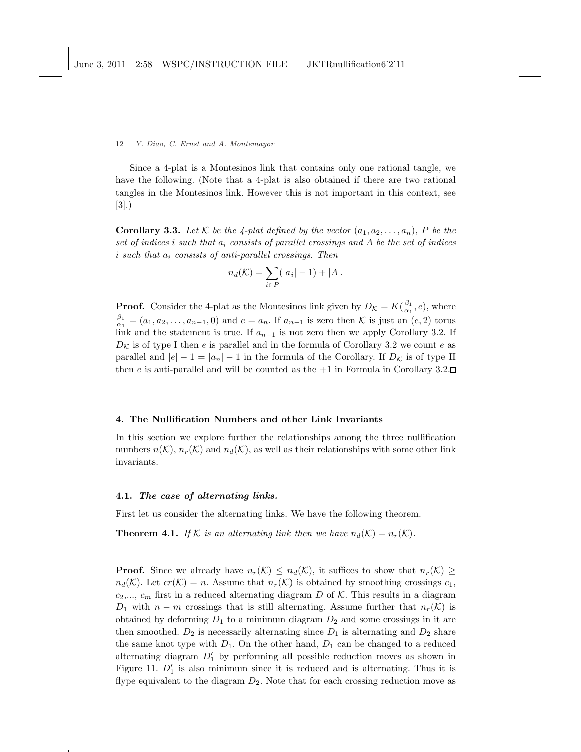Since a 4-plat is a Montesinos link that contains only one rational tangle, we have the following. (Note that a 4-plat is also obtained if there are two rational tangles in the Montesinos link. However this is not important in this context, see [3].)

**Corollary 3.3.** Let K be the 4-plat defined by the vector  $(a_1, a_2, \ldots, a_n)$ , P be the set of indices i such that  $a_i$  consists of parallel crossings and A be the set of indices i such that  $a_i$  consists of anti-parallel crossings. Then

$$
n_d(\mathcal{K}) = \sum_{i \in P} (|a_i| - 1) + |A|.
$$

**Proof.** Consider the 4-plat as the Montesinos link given by  $D_{\mathcal{K}} = K(\frac{\beta_1}{\alpha_1}, e)$ , where  $\frac{\beta_1}{\alpha_1} = (a_1, a_2, \dots, a_{n-1}, 0)$  and  $e = a_n$ . If  $a_{n-1}$  is zero then K is just an  $(e, 2)$  torus link and the statement is true. If  $a_{n-1}$  is not zero then we apply Corollary 3.2. If  $D_{\mathcal{K}}$  is of type I then e is parallel and in the formula of Corollary 3.2 we count e as parallel and  $|e| - 1 = |a_n| - 1$  in the formula of the Corollary. If  $D_K$  is of type II then e is anti-parallel and will be counted as the  $+1$  in Formula in Corollary 3.2.

## 4. The Nullification Numbers and other Link Invariants

In this section we explore further the relationships among the three nullification numbers  $n(\mathcal{K}), n_r(\mathcal{K})$  and  $n_d(\mathcal{K}),$  as well as their relationships with some other link invariants.

# 4.1. The case of alternating links.

First let us consider the alternating links. We have the following theorem.

**Theorem 4.1.** If K is an alternating link then we have  $n_d(\mathcal{K}) = n_r(\mathcal{K})$ .

**Proof.** Since we already have  $n_r(\mathcal{K}) \leq n_d(\mathcal{K})$ , it suffices to show that  $n_r(\mathcal{K}) \geq$  $n_d(\mathcal{K})$ . Let  $cr(\mathcal{K}) = n$ . Assume that  $n_r(\mathcal{K})$  is obtained by smoothing crossings  $c_1$ ,  $c_2,..., c_m$  first in a reduced alternating diagram D of K. This results in a diagram  $D_1$  with  $n - m$  crossings that is still alternating. Assume further that  $n_r(\mathcal{K})$  is obtained by deforming  $D_1$  to a minimum diagram  $D_2$  and some crossings in it are then smoothed.  $D_2$  is necessarily alternating since  $D_1$  is alternating and  $D_2$  share the same knot type with  $D_1$ . On the other hand,  $D_1$  can be changed to a reduced alternating diagram  $D'_1$  by performing all possible reduction moves as shown in Figure 11.  $D'_1$  is also minimum since it is reduced and is alternating. Thus it is flype equivalent to the diagram  $D_2$ . Note that for each crossing reduction move as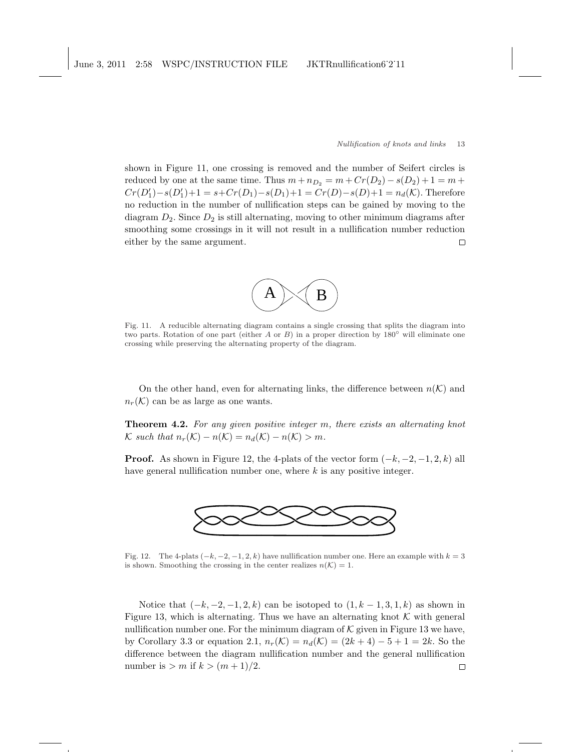shown in Figure 11, one crossing is removed and the number of Seifert circles is reduced by one at the same time. Thus  $m + n_{D_2} = m + Cr(D_2) - s(D_2) + 1 = m +$  $Cr(D'_1)-s(D'_1)+1=s+Cr(D_1)-s(D_1)+1=Cr(D)-s(D)+1=n_d(\mathcal{K})$ . Therefore no reduction in the number of nullification steps can be gained by moving to the diagram  $D_2$ . Since  $D_2$  is still alternating, moving to other minimum diagrams after smoothing some crossings in it will not result in a nullification number reduction either by the same argument.  $\Box$ 



Fig. 11. A reducible alternating diagram contains a single crossing that splits the diagram into two parts. Rotation of one part (either A or B) in a proper direction by  $180°$  will eliminate one crossing while preserving the alternating property of the diagram.

On the other hand, even for alternating links, the difference between  $n(\mathcal{K})$  and  $n_r(\mathcal{K})$  can be as large as one wants.

Theorem 4.2. For any given positive integer m, there exists an alternating knot K such that  $n_r(\mathcal{K}) - n(\mathcal{K}) = n_d(\mathcal{K}) - n(\mathcal{K}) > m$ .

**Proof.** As shown in Figure 12, the 4-plats of the vector form  $(-k, -2, -1, 2, k)$  all have general nullification number one, where  $k$  is any positive integer.



Fig. 12. The 4-plats  $(-k, -2, -1, 2, k)$  have nullification number one. Here an example with  $k = 3$ is shown. Smoothing the crossing in the center realizes  $n(\mathcal{K}) = 1$ .

Notice that  $(-k, -2, -1, 2, k)$  can be isotoped to  $(1, k - 1, 3, 1, k)$  as shown in Figure 13, which is alternating. Thus we have an alternating knot  $K$  with general nullification number one. For the minimum diagram of  $K$  given in Figure 13 we have, by Corollary 3.3 or equation 2.1,  $n_r(\mathcal{K}) = n_d(\mathcal{K}) = (2k+4) - 5 + 1 = 2k$ . So the difference between the diagram nullification number and the general nullification number is  $> m$  if  $k > (m+1)/2$ .  $\Box$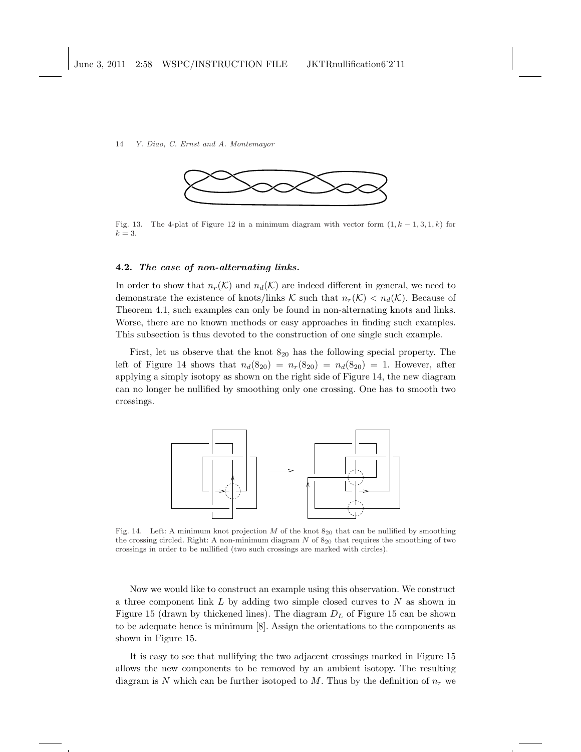

Fig. 13. The 4-plat of Figure 12 in a minimum diagram with vector form  $(1, k - 1, 3, 1, k)$  for  $k = 3$ .

# 4.2. The case of non-alternating links.

In order to show that  $n_r(\mathcal{K})$  and  $n_d(\mathcal{K})$  are indeed different in general, we need to demonstrate the existence of knots/links K such that  $n_r(\mathcal{K}) < n_d(\mathcal{K})$ . Because of Theorem 4.1, such examples can only be found in non-alternating knots and links. Worse, there are no known methods or easy approaches in finding such examples. This subsection is thus devoted to the construction of one single such example.

First, let us observe that the knot  $8_{20}$  has the following special property. The left of Figure 14 shows that  $n_d(8_{20}) = n_r(8_{20}) = n_d(8_{20}) = 1$ . However, after applying a simply isotopy as shown on the right side of Figure 14, the new diagram can no longer be nullified by smoothing only one crossing. One has to smooth two crossings.



Fig. 14. Left: A minimum knot projection M of the knot  $8_{20}$  that can be nullified by smoothing the crossing circled. Right: A non-minimum diagram  $N$  of  $8_{20}$  that requires the smoothing of two crossings in order to be nullified (two such crossings are marked with circles).

Now we would like to construct an example using this observation. We construct a three component link  $L$  by adding two simple closed curves to  $N$  as shown in Figure 15 (drawn by thickened lines). The diagram  $D<sub>L</sub>$  of Figure 15 can be shown to be adequate hence is minimum [8]. Assign the orientations to the components as shown in Figure 15.

It is easy to see that nullifying the two adjacent crossings marked in Figure 15 allows the new components to be removed by an ambient isotopy. The resulting diagram is N which can be further isotoped to M. Thus by the definition of  $n_r$  we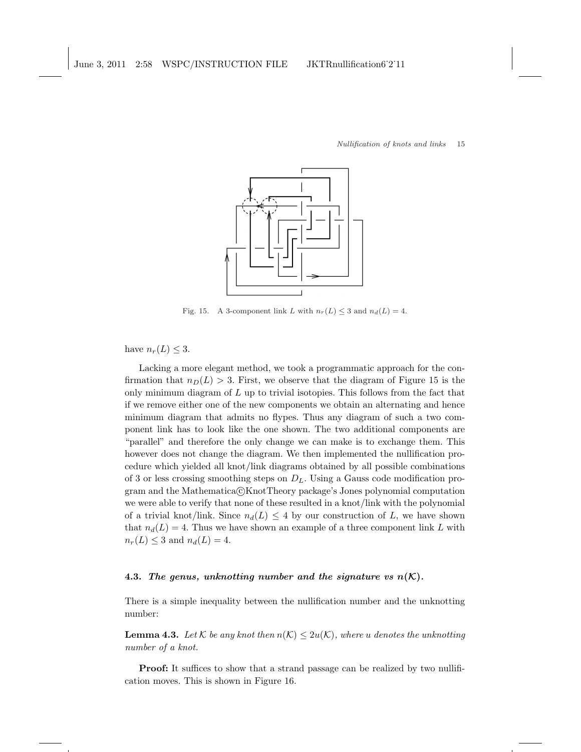

Fig. 15. A 3-component link L with  $n_r(L) \leq 3$  and  $n_d(L) = 4$ .

have  $n_r(L) \leq 3$ .

Lacking a more elegant method, we took a programmatic approach for the confirmation that  $n_D(L) > 3$ . First, we observe that the diagram of Figure 15 is the only minimum diagram of  $L$  up to trivial isotopies. This follows from the fact that if we remove either one of the new components we obtain an alternating and hence minimum diagram that admits no flypes. Thus any diagram of such a two component link has to look like the one shown. The two additional components are "parallel" and therefore the only change we can make is to exchange them. This however does not change the diagram. We then implemented the nullification procedure which yielded all knot/link diagrams obtained by all possible combinations of 3 or less crossing smoothing steps on  $D<sub>L</sub>$ . Using a Gauss code modification program and the Mathematica@KnotTheory package's Jones polynomial computation we were able to verify that none of these resulted in a knot/link with the polynomial of a trivial knot/link. Since  $n_d(L) \leq 4$  by our construction of L, we have shown that  $n_d(L) = 4$ . Thus we have shown an example of a three component link L with  $n_r(L) \leq 3$  and  $n_d(L) = 4$ .

# 4.3. The genus, unknotting number and the signature vs  $n(K)$ .

There is a simple inequality between the nullification number and the unknotting number:

**Lemma 4.3.** Let K be any knot then  $n(K) \leq 2u(K)$ , where u denotes the unknotting number of a knot.

Proof: It suffices to show that a strand passage can be realized by two nullification moves. This is shown in Figure 16.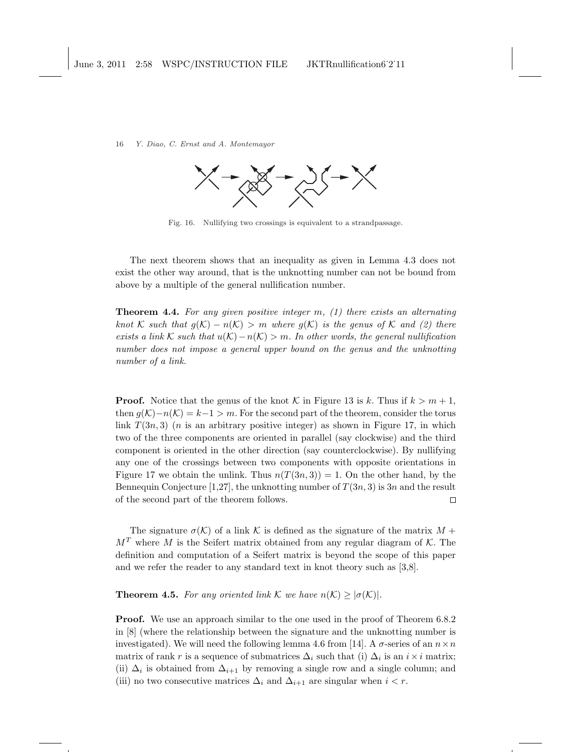

Fig. 16. Nullifying two crossings is equivalent to a strandpassage.

The next theorem shows that an inequality as given in Lemma 4.3 does not exist the other way around, that is the unknotting number can not be bound from above by a multiple of the general nullification number.

**Theorem 4.4.** For any given positive integer  $m$ ,  $(1)$  there exists an alternating knot K such that  $g(\mathcal{K}) - n(\mathcal{K}) > m$  where  $g(\mathcal{K})$  is the genus of K and (2) there exists a link K such that  $u(\mathcal{K})-n(\mathcal{K}) > m$ . In other words, the general nullification number does not impose a general upper bound on the genus and the unknotting number of a link.

**Proof.** Notice that the genus of the knot K in Figure 13 is k. Thus if  $k > m + 1$ , then  $g(\mathcal{K})-n(\mathcal{K})=k-1>m$ . For the second part of the theorem, consider the torus link  $T(3n, 3)$  (*n* is an arbitrary positive integer) as shown in Figure 17, in which two of the three components are oriented in parallel (say clockwise) and the third component is oriented in the other direction (say counterclockwise). By nullifying any one of the crossings between two components with opposite orientations in Figure 17 we obtain the unlink. Thus  $n(T(3n, 3)) = 1$ . On the other hand, by the Bennequin Conjecture [1,27], the unknotting number of  $T(3n, 3)$  is 3n and the result of the second part of the theorem follows.  $\Box$ 

The signature  $\sigma(\mathcal{K})$  of a link K is defined as the signature of the matrix  $M +$  $M<sup>T</sup>$  where M is the Seifert matrix obtained from any regular diagram of K. The definition and computation of a Seifert matrix is beyond the scope of this paper and we refer the reader to any standard text in knot theory such as [3,8].

**Theorem 4.5.** For any oriented link K we have  $n(\mathcal{K}) \geq |\sigma(\mathcal{K})|$ .

**Proof.** We use an approach similar to the one used in the proof of Theorem 6.8.2 in [8] (where the relationship between the signature and the unknotting number is investigated). We will need the following lemma 4.6 from [14]. A  $\sigma$ -series of an  $n \times n$ matrix of rank r is a sequence of submatrices  $\Delta_i$  such that (i)  $\Delta_i$  is an  $i \times i$  matrix; (ii)  $\Delta_i$  is obtained from  $\Delta_{i+1}$  by removing a single row and a single column; and (iii) no two consecutive matrices  $\Delta_i$  and  $\Delta_{i+1}$  are singular when  $i < r$ .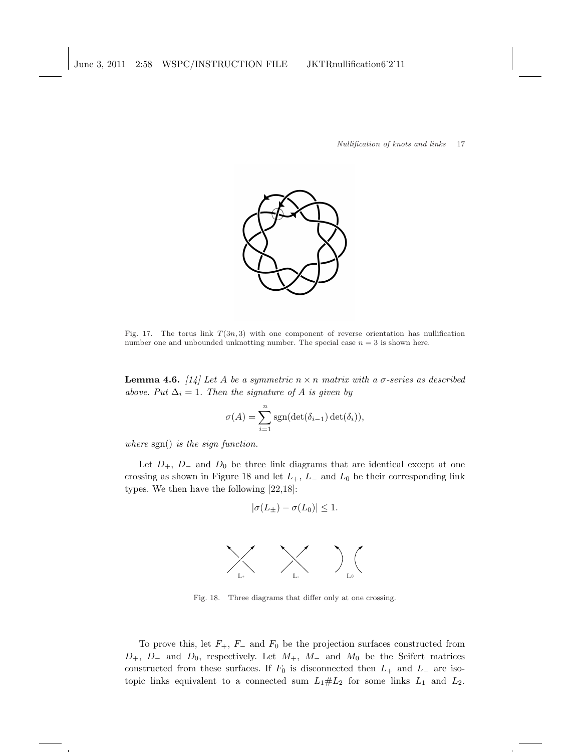

Fig. 17. The torus link  $T(3n, 3)$  with one component of reverse orientation has nullification number one and unbounded unknotting number. The special case  $n = 3$  is shown here.

**Lemma 4.6.** [14] Let A be a symmetric  $n \times n$  matrix with a  $\sigma$ -series as described above. Put  $\Delta_i = 1$ . Then the signature of A is given by

$$
\sigma(A) = \sum_{i=1}^{n} \text{sgn}(\det(\delta_{i-1}) \det(\delta_i)),
$$

where sgn() is the sign function.

Let  $D_+$ ,  $D_-$  and  $D_0$  be three link diagrams that are identical except at one crossing as shown in Figure 18 and let  $L_+$ ,  $L_-$  and  $L_0$  be their corresponding link types. We then have the following [22,18]:

$$
|\sigma(L_{\pm}) - \sigma(L_0)| \leq 1.
$$



Fig. 18. Three diagrams that differ only at one crossing.

To prove this, let  $F_+$ ,  $F_-$  and  $F_0$  be the projection surfaces constructed from  $D_+$ ,  $D_-$  and  $D_0$ , respectively. Let  $M_+$ ,  $M_-$  and  $M_0$  be the Seifert matrices constructed from these surfaces. If  $F_0$  is disconnected then  $L_+$  and  $L_-$  are isotopic links equivalent to a connected sum  $L_1 \# L_2$  for some links  $L_1$  and  $L_2$ .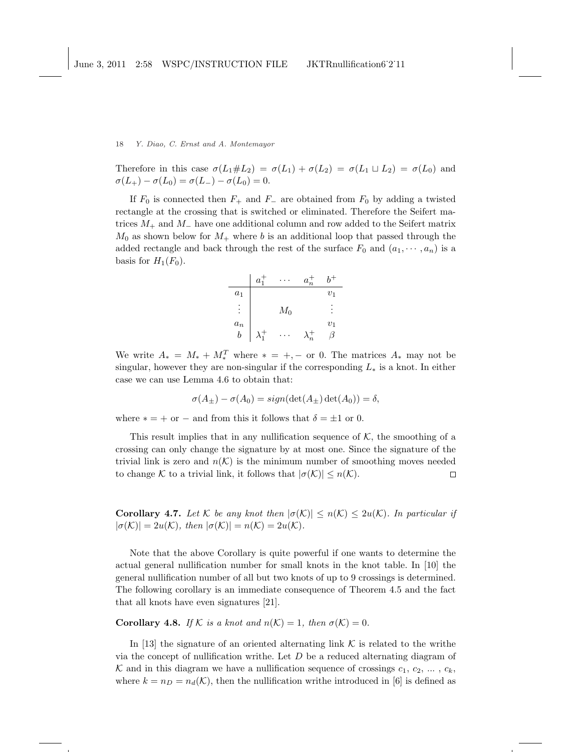Therefore in this case  $\sigma(L_1 \# L_2) = \sigma(L_1) + \sigma(L_2) = \sigma(L_1 \sqcup L_2) = \sigma(L_0)$  and  $\sigma(L_{+}) - \sigma(L_{0}) = \sigma(L_{-}) - \sigma(L_{0}) = 0.$ 

If  $F_0$  is connected then  $F_+$  and  $F_-$  are obtained from  $F_0$  by adding a twisted rectangle at the crossing that is switched or eliminated. Therefore the Seifert matrices  $M_+$  and  $M_-$  have one additional column and row added to the Seifert matrix  $M_0$  as shown below for  $M_+$  where b is an additional loop that passed through the added rectangle and back through the rest of the surface  $F_0$  and  $(a_1, \dots, a_n)$  is a basis for  $H_1(F_0)$ .



We write  $A_* = M_* + M_*^T$  where  $* = +, -$  or 0. The matrices  $A_*$  may not be singular, however they are non-singular if the corresponding  $L_*$  is a knot. In either case we can use Lemma 4.6 to obtain that:

$$
\sigma(A_{\pm}) - \sigma(A_0) = sign(\det(A_{\pm})\det(A_0)) = \delta,
$$

where  $* = +$  or  $-$  and from this it follows that  $\delta = \pm 1$  or 0.

This result implies that in any nullification sequence of  $K$ , the smoothing of a crossing can only change the signature by at most one. Since the signature of the trivial link is zero and  $n(\mathcal{K})$  is the minimum number of smoothing moves needed to change K to a trivial link, it follows that  $|\sigma(\mathcal{K})| \leq n(\mathcal{K})$ .  $\Box$ 

**Corollary 4.7.** Let K be any knot then  $|\sigma(\mathcal{K})| \leq n(\mathcal{K}) \leq 2u(\mathcal{K})$ . In particular if  $|\sigma(\mathcal{K})| = 2u(\mathcal{K}), \text{ then } |\sigma(\mathcal{K})| = n(\mathcal{K}) = 2u(\mathcal{K}).$ 

Note that the above Corollary is quite powerful if one wants to determine the actual general nullification number for small knots in the knot table. In [10] the general nullification number of all but two knots of up to 9 crossings is determined. The following corollary is an immediate consequence of Theorem 4.5 and the fact that all knots have even signatures [21].

**Corollary 4.8.** If K is a knot and  $n(K) = 1$ , then  $\sigma(K) = 0$ .

In [13] the signature of an oriented alternating link  $\mathcal K$  is related to the writhe via the concept of nullification writhe. Let  $D$  be a reduced alternating diagram of K and in this diagram we have a nullification sequence of crossings  $c_1, c_2, \ldots, c_k$ , where  $k = n_D = n_d(\mathcal{K})$ , then the nullification writhe introduced in [6] is defined as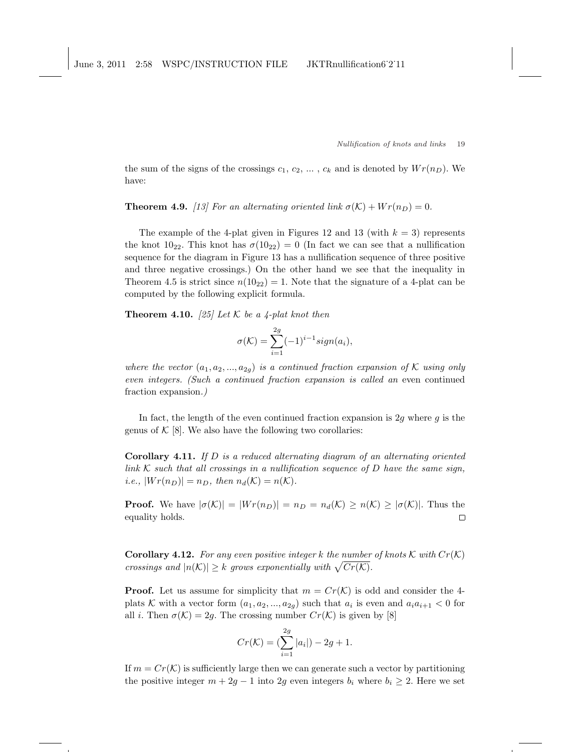the sum of the signs of the crossings  $c_1, c_2, \ldots, c_k$  and is denoted by  $Wr(n_D)$ . We have:

**Theorem 4.9.** [13] For an alternating oriented link  $\sigma(\mathcal{K}) + Wr(n_D) = 0$ .

The example of the 4-plat given in Figures 12 and 13 (with  $k = 3$ ) represents the knot  $10_{22}$ . This knot has  $\sigma(10_{22}) = 0$  (In fact we can see that a nullification sequence for the diagram in Figure 13 has a nullification sequence of three positive and three negative crossings.) On the other hand we see that the inequality in Theorem 4.5 is strict since  $n(10_{22}) = 1$ . Note that the signature of a 4-plat can be computed by the following explicit formula.

**Theorem 4.10.** [25] Let K be a 4-plat knot then

$$
\sigma(\mathcal{K}) = \sum_{i=1}^{2g} (-1)^{i-1} sign(a_i),
$$

where the vector  $(a_1, a_2, ..., a_{2g})$  is a continued fraction expansion of K using only even integers. (Such a continued fraction expansion is called an even continued fraction expansion.)

In fact, the length of the even continued fraction expansion is 2g where  $g$  is the genus of  $\mathcal{K}$  [8]. We also have the following two corollaries:

**Corollary 4.11.** If  $D$  is a reduced alternating diagram of an alternating oriented link  $K$  such that all crossings in a nullification sequence of  $D$  have the same sign, *i.e.*,  $|Wr(n_D)| = n_D$ , then  $n_d(\mathcal{K}) = n(\mathcal{K})$ .

**Proof.** We have  $|\sigma(\mathcal{K})| = |Wr(n_D)| = n_D = n_d(\mathcal{K}) \ge n(\mathcal{K}) \ge |\sigma(\mathcal{K})|$ . Thus the equality holds.  $\Box$ 

**Corollary 4.12.** For any even positive integer k the number of knots K with  $Cr(K)$ **Coronary 4.12.** For any even positive integer  $\kappa$  in a number<br>crossings and  $|n(\mathcal{K})| \geq k$  grows exponentially with  $\sqrt{Cr(\mathcal{K})}$ .

**Proof.** Let us assume for simplicity that  $m = Cr(K)$  is odd and consider the 4plats K with a vector form  $(a_1, a_2, ..., a_{2g})$  such that  $a_i$  is even and  $a_i a_{i+1} < 0$  for all *i*. Then  $\sigma(\mathcal{K}) = 2g$ . The crossing number  $Cr(\mathcal{K})$  is given by [8]

$$
Cr(\mathcal{K}) = \left(\sum_{i=1}^{2g} |a_i|\right) - 2g + 1.
$$

If  $m = Cr(\mathcal{K})$  is sufficiently large then we can generate such a vector by partitioning the positive integer  $m + 2g - 1$  into 2g even integers  $b_i$  where  $b_i \geq 2$ . Here we set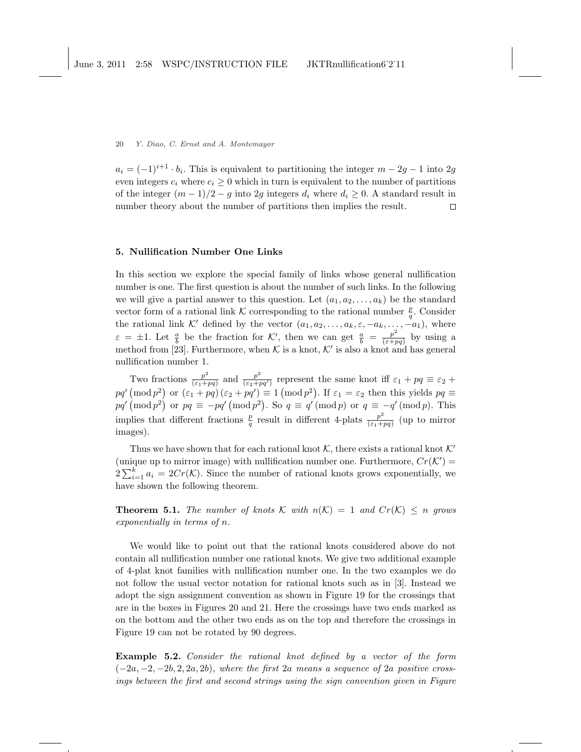$a_i = (-1)^{i+1} \cdot b_i$ . This is equivalent to partitioning the integer  $m - 2g - 1$  into  $2g$ even integers  $c_i$  where  $c_i \geq 0$  which in turn is equivalent to the number of partitions of the integer  $(m-1)/2 - g$  into 2q integers  $d_i$  where  $d_i \geq 0$ . A standard result in number theory about the number of partitions then implies the result.  $\Box$ 

## 5. Nullification Number One Links

In this section we explore the special family of links whose general nullification number is one. The first question is about the number of such links. In the following we will give a partial answer to this question. Let  $(a_1, a_2, \ldots, a_k)$  be the standard vector form of a rational link K corresponding to the rational number  $\frac{p}{q}$ . Consider the rational link K' defined by the vector  $(a_1, a_2, \ldots, a_k, \varepsilon, -a_k, \ldots, -a_1)$ , where  $\varepsilon = \pm 1$ . Let  $\frac{a}{b}$  be the fraction for K', then we can get  $\frac{a}{b} = \frac{p^2}{(\varepsilon + p)^2}$  $\frac{p^2}{(\varepsilon+pq)}$  by using a method from [23]. Furthermore, when K is a knot, K' is also a knot and has general nullification number 1.

Two fractions  $\frac{p^2}{(5+1)}$  $\frac{p^2}{(\varepsilon_1+pq)}$  and  $\frac{p^2}{(\varepsilon_2+pq)}$ Two fractions  $\frac{p^2}{(\varepsilon_1+pq)}$  and  $\frac{p^2}{(\varepsilon_2+pq')}$  represent the same knot iff  $\varepsilon_1+pq \equiv \varepsilon_2 +$  $pq' \pmod{p^2}$  or  $(\varepsilon_1 + pq) (\varepsilon_2 + pq') \equiv 1 \pmod{p^2}$ . If  $\varepsilon_1 = \varepsilon_2$  then this yields  $pq \equiv$  $pq' \pmod{p^2}$  or  $pq \equiv -pq' \pmod{p^2}$ . So  $q \equiv q' \pmod{p}$  or  $q \equiv -q' \pmod{p}$ . This implies that different fractions  $\frac{p}{q}$  result in different 4-plats  $\frac{p^2}{(\varepsilon_1 + p^2)}$  $\frac{p^2}{(\varepsilon_1+pq)}$  (up to mirror images).

Thus we have shown that for each rational knot  $K$ , there exists a rational knot  $K'$ (unique up to mirror image) with nullification number one. Furthermore,  $Cr(K')$  = (unique up to mirror image) with number of rational knots grows exponentially, we<br> $2\sum_{i=1}^{k} a_i = 2Cr(K)$ . Since the number of rational knots grows exponentially, we have shown the following theorem.

**Theorem 5.1.** The number of knots K with  $n(K) = 1$  and  $Cr(K) \leq n$  grows exponentially in terms of n.

We would like to point out that the rational knots considered above do not contain all nullification number one rational knots. We give two additional example of 4-plat knot families with nullification number one. In the two examples we do not follow the usual vector notation for rational knots such as in [3]. Instead we adopt the sign assignment convention as shown in Figure 19 for the crossings that are in the boxes in Figures 20 and 21. Here the crossings have two ends marked as on the bottom and the other two ends as on the top and therefore the crossings in Figure 19 can not be rotated by 90 degrees.

Example 5.2. Consider the rational knot defined by a vector of the form  $(-2a, -2, -2b, 2, 2a, 2b)$ , where the first 2a means a sequence of 2a positive crossings between the first and second strings using the sign convention given in Figure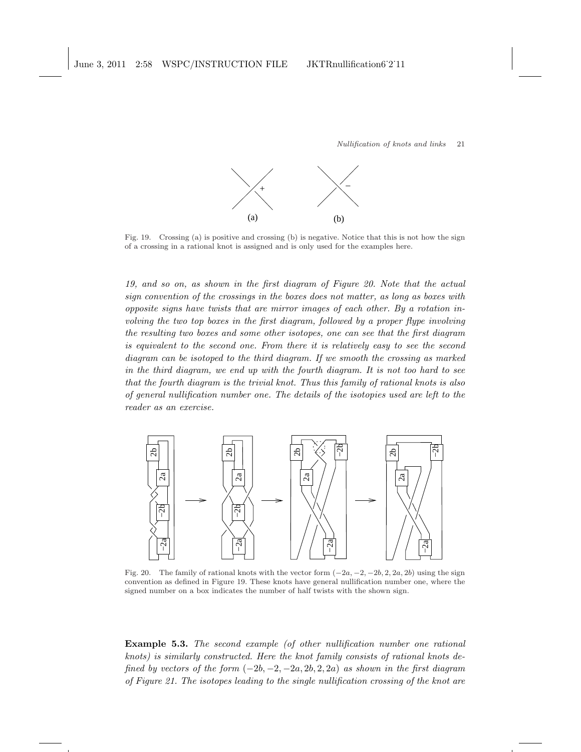

Fig. 19. Crossing (a) is positive and crossing (b) is negative. Notice that this is not how the sign of a crossing in a rational knot is assigned and is only used for the examples here.

19, and so on, as shown in the first diagram of Figure 20. Note that the actual sign convention of the crossings in the boxes does not matter, as long as boxes with opposite signs have twists that are mirror images of each other. By a rotation involving the two top boxes in the first diagram, followed by a proper flype involving the resulting two boxes and some other isotopes, one can see that the first diagram is equivalent to the second one. From there it is relatively easy to see the second diagram can be isotoped to the third diagram. If we smooth the crossing as marked in the third diagram, we end up with the fourth diagram. It is not too hard to see that the fourth diagram is the trivial knot. Thus this family of rational knots is also of general nullification number one. The details of the isotopies used are left to the reader as an exercise.



Fig. 20. The family of rational knots with the vector form  $(-2a, -2, -2b, 2, 2a, 2b)$  using the sign convention as defined in Figure 19. These knots have general nullification number one, where the signed number on a box indicates the number of half twists with the shown sign.

Example 5.3. The second example (of other nullification number one rational knots) is similarly constructed. Here the knot family consists of rational knots defined by vectors of the form  $(-2b, -2, -2a, 2b, 2, 2a)$  as shown in the first diagram of Figure 21. The isotopes leading to the single nullification crossing of the knot are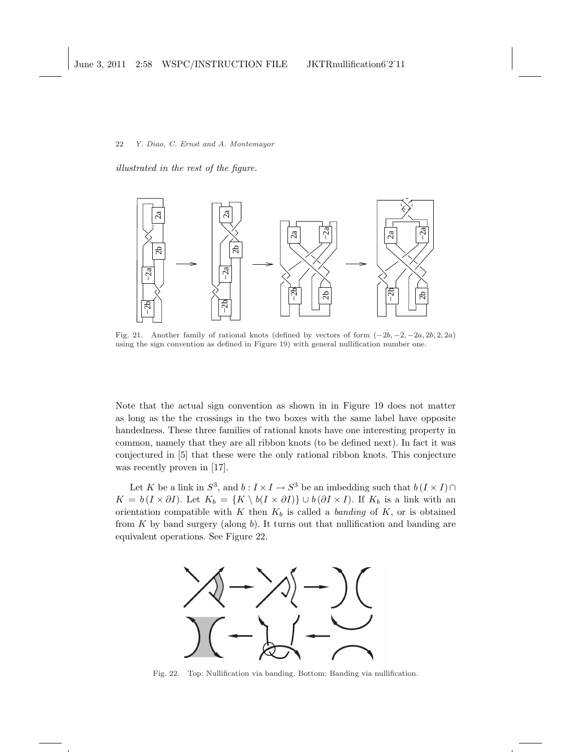illustrated in the rest of the figure.



Fig. 21. Another family of rational knots (defined by vectors of form  $(-2b, -2, -2a, 2b, 2, 2a)$ ) using the sign convention as defined in Figure 19) with general nullification number one.

Note that the actual sign convention as shown in in Figure 19 does not matter as long as the the crossings in the two boxes with the same label have opposite handedness. These three families of rational knots have one interesting property in common, namely that they are all ribbon knots (to be defined next). In fact it was conjectured in [5] that these were the only rational ribbon knots. This conjecture was recently proven in [17].

Let K be a link in  $S^3$ , and  $b: I \times I \to S^3$  be an imbedding such that  $b(I \times I) \cap$  $K = b (I \times \partial I)$ . Let  $K_b = \{K \setminus b(I \times \partial I)\} \cup b(\partial I \times I)$ . If  $K_b$  is a link with an orientation compatible with K then  $K_b$  is called a *banding* of K, or is obtained from  $K$  by band surgery (along  $b$ ). It turns out that nullification and banding are equivalent operations. See Figure 22.



Fig. 22. Top: Nullification via banding. Bottom: Banding via nullification.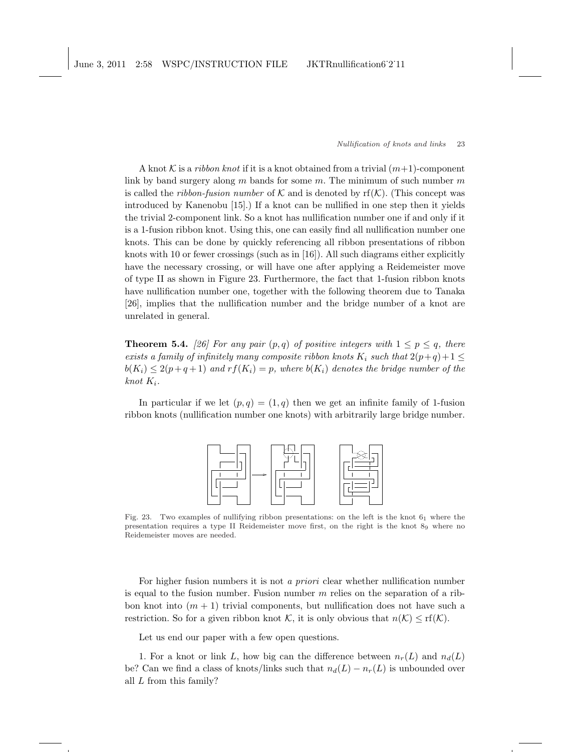A knot K is a *ribbon knot* if it is a knot obtained from a trivial  $(m+1)$ -component link by band surgery along m bands for some m. The minimum of such number  $m$ is called the *ribbon-fusion number* of K and is denoted by  $\mathrm{rf}(\mathcal{K})$ . (This concept was introduced by Kanenobu [15].) If a knot can be nullified in one step then it yields the trivial 2-component link. So a knot has nullification number one if and only if it is a 1-fusion ribbon knot. Using this, one can easily find all nullification number one knots. This can be done by quickly referencing all ribbon presentations of ribbon knots with 10 or fewer crossings (such as in [16]). All such diagrams either explicitly have the necessary crossing, or will have one after applying a Reidemeister move of type II as shown in Figure 23. Furthermore, the fact that 1-fusion ribbon knots have nullification number one, together with the following theorem due to Tanaka [26], implies that the nullification number and the bridge number of a knot are unrelated in general.

**Theorem 5.4.** [26] For any pair  $(p,q)$  of positive integers with  $1 \leq p \leq q$ , there exists a family of infinitely many composite ribbon knots  $K_i$  such that  $2(p+q)+1 \leq$  $b(K_i) \leq 2(p+q+1)$  and  $rf(K_i) = p$ , where  $b(K_i)$  denotes the bridge number of the knot  $K_i$ .

In particular if we let  $(p, q) = (1, q)$  then we get an infinite family of 1-fusion ribbon knots (nullification number one knots) with arbitrarily large bridge number.



Fig. 23. Two examples of nullifying ribbon presentations: on the left is the knot  $6<sub>1</sub>$  where the presentation requires a type II Reidemeister move first, on the right is the knot 8<sup>9</sup> where no Reidemeister moves are needed.

For higher fusion numbers it is not a priori clear whether nullification number is equal to the fusion number. Fusion number  $m$  relies on the separation of a ribbon knot into  $(m + 1)$  trivial components, but nullification does not have such a restriction. So for a given ribbon knot K, it is only obvious that  $n(\mathcal{K}) \leq \text{rf}(\mathcal{K})$ .

Let us end our paper with a few open questions.

1. For a knot or link L, how big can the difference between  $n_r(L)$  and  $n_d(L)$ be? Can we find a class of knots/links such that  $n_d(L) - n_r(L)$  is unbounded over all L from this family?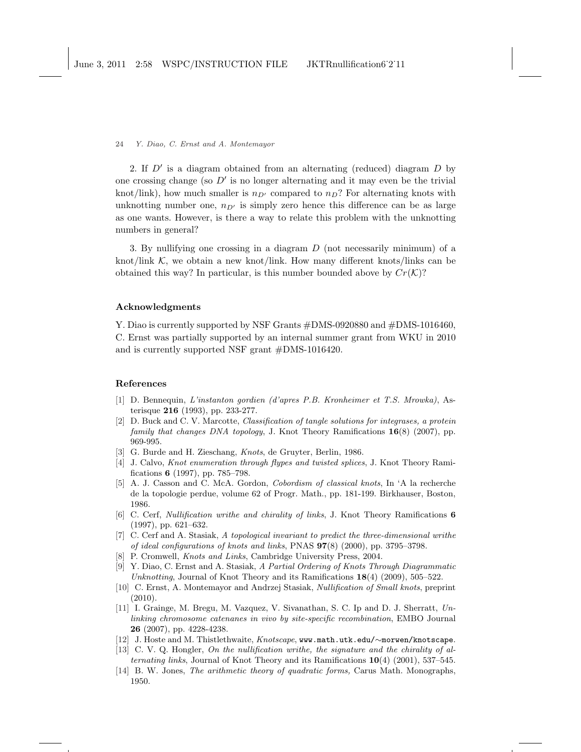2. If  $D'$  is a diagram obtained from an alternating (reduced) diagram  $D$  by one crossing change (so  $D'$  is no longer alternating and it may even be the trivial knot/link), how much smaller is  $n_{D'}$  compared to  $n_D$ ? For alternating knots with unknotting number one,  $n_{D'}$  is simply zero hence this difference can be as large as one wants. However, is there a way to relate this problem with the unknotting numbers in general?

3. By nullifying one crossing in a diagram D (not necessarily minimum) of a knot/link  $K$ , we obtain a new knot/link. How many different knots/links can be obtained this way? In particular, is this number bounded above by  $Cr(\mathcal{K})$ ?

# Acknowledgments

Y. Diao is currently supported by NSF Grants #DMS-0920880 and #DMS-1016460, C. Ernst was partially supported by an internal summer grant from WKU in 2010 and is currently supported NSF grant #DMS-1016420.

## References

- [1] D. Bennequin, L'instanton gordien (d'apres P.B. Kronheimer et T.S. Mrowka), Asterisque 216 (1993), pp. 233-277.
- [2] D. Buck and C. V. Marcotte, Classification of tangle solutions for integrases, a protein family that changes DNA topology, J. Knot Theory Ramifications 16(8) (2007), pp. 969-995.
- [3] G. Burde and H. Zieschang, Knots, de Gruyter, Berlin, 1986.
- [4] J. Calvo, Knot enumeration through flypes and twisted splices, J. Knot Theory Ramifications 6 (1997), pp. 785–798.
- [5] A. J. Casson and C. McA. Gordon, Cobordism of classical knots, In 'A la recherche de la topologie perdue, volume 62 of Progr. Math., pp. 181-199. Birkhauser, Boston, 1986.
- [6] C. Cerf, Nullification writhe and chirality of links, J. Knot Theory Ramifications 6 (1997), pp. 621–632.
- [7] C. Cerf and A. Stasiak, A topological invariant to predict the three-dimensional writhe of ideal configurations of knots and links, PNAS 97(8) (2000), pp. 3795–3798.
- P. Cromwell, *Knots and Links*, Cambridge University Press, 2004.
- [9] Y. Diao, C. Ernst and A. Stasiak, A Partial Ordering of Knots Through Diagrammatic Unknotting, Journal of Knot Theory and its Ramifications  $18(4)$  (2009), 505–522.
- [10] C. Ernst, A. Montemayor and Andrzej Stasiak, Nullification of Small knots, preprint (2010).
- [11] I. Grainge, M. Bregu, M. Vazquez, V. Sivanathan, S. C. Ip and D. J. Sherratt, Unlinking chromosome catenanes in vivo by site-specific recombination, EMBO Journal 26 (2007), pp. 4228-4238.
- [12] J. Hoste and M. Thistlethwaite, Knotscape, www.math.utk.edu/∼morwen/knotscape.
- [13] C. V. Q. Hongler, On the nullification writhe, the signature and the chirality of alternating links, Journal of Knot Theory and its Ramifications  $\mathbf{10}(4)$  (2001), 537–545.
- [14] B. W. Jones, The arithmetic theory of quadratic forms, Carus Math. Monographs, 1950.